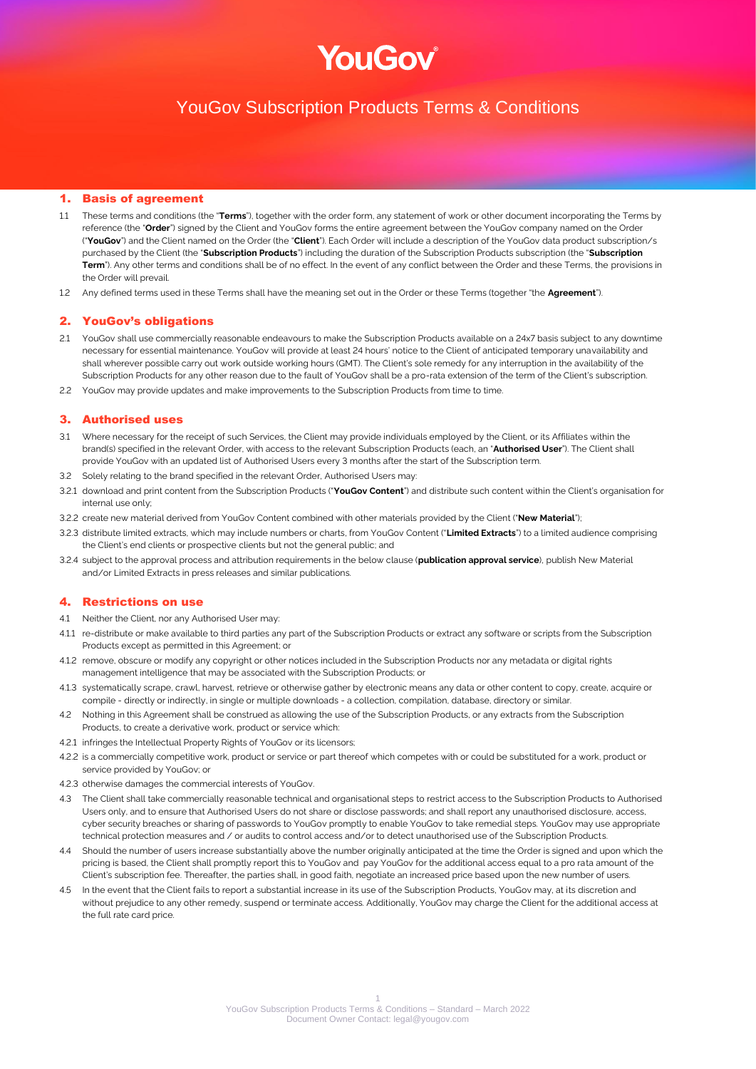# YouGov

# YouGov Subscription Products Terms & Conditions

## 1. Basis of agreement

- 1.1 These terms and conditions (the "**Terms**"), together with the order form, any statement of work or other document incorporating the Terms by reference (the "**Order**") signed by the Client and YouGov forms the entire agreement between the YouGov company named on the Order ("**YouGov**") and the Client named on the Order (the "**Client**"). Each Order will include a description of the YouGov data product subscription/s purchased by the Client (the "**Subscription Products**") including the duration of the Subscription Products subscription (the "**Subscription Term**"). Any other terms and conditions shall be of no effect. In the event of any conflict between the Order and these Terms, the provisions in the Order will prevail.
- 1.2 Any defined terms used in these Terms shall have the meaning set out in the Order or these Terms (together "the **Agreement**").

## 2. YouGov's obligations

- 2.1 YouGov shall use commercially reasonable endeavours to make the Subscription Products available on a 24x7 basis subject to any downtime necessary for essential maintenance. YouGov will provide at least 24 hours' notice to the Client of anticipated temporary unavailability and shall wherever possible carry out work outside working hours (GMT). The Client's sole remedy for any interruption in the availability of the Subscription Products for any other reason due to the fault of YouGov shall be a pro-rata extension of the term of the Client's subscription.
- 2.2 YouGov may provide updates and make improvements to the Subscription Products from time to time.

#### 3. Authorised uses

- 3.1 Where necessary for the receipt of such Services, the Client may provide individuals employed by the Client, or its Affiliates within the brand(s) specified in the relevant Order, with access to the relevant Subscription Products (each, an "**Authorised User**"). The Client shall provide YouGov with an updated list of Authorised Users every 3 months after the start of the Subscription term.
- 3.2 Solely relating to the brand specified in the relevant Order, Authorised Users may:
- 3.2.1 download and print content from the Subscription Products ("**YouGov Content**") and distribute such content within the Client's organisation for internal use only;
- 3.2.2 create new material derived from YouGov Content combined with other materials provided by the Client ("**New Material**");
- 3.2.3 distribute limited extracts, which may include numbers or charts, from YouGov Content ("**Limited Extracts**") to a limited audience comprising the Client's end clients or prospective clients but not the general public; and
- 3.2.4 subject to the approval process and attribution requirements in the below clause (**publication approval service**), publish New Material and/or Limited Extracts in press releases and similar publications.

# 4. Restrictions on use

- 4.1 Neither the Client, nor any Authorised User may:
- 4.1.1 re-distribute or make available to third parties any part of the Subscription Products or extract any software or scripts from the Subscription Products except as permitted in this Agreement; or
- 4.1.2 remove, obscure or modify any copyright or other notices included in the Subscription Products nor any metadata or digital rights management intelligence that may be associated with the Subscription Products; or
- 4.1.3 systematically scrape, crawl, harvest, retrieve or otherwise gather by electronic means any data or other content to copy, create, acquire or compile - directly or indirectly, in single or multiple downloads - a collection, compilation, database, directory or similar.
- 4.2 Nothing in this Agreement shall be construed as allowing the use of the Subscription Products, or any extracts from the Subscription Products, to create a derivative work, product or service which:
- 4.2.1 infringes the Intellectual Property Rights of YouGov or its licensors;
- 4.2.2 is a commercially competitive work, product or service or part thereof which competes with or could be substituted for a work, product or service provided by YouGov; or
- 4.2.3 otherwise damages the commercial interests of YouGov.
- 4.3 The Client shall take commercially reasonable technical and organisational steps to restrict access to the Subscription Products to Authorised Users only, and to ensure that Authorised Users do not share or disclose passwords; and shall report any unauthorised disclosure, access, cyber security breaches or sharing of passwords to YouGov promptly to enable YouGov to take remedial steps. YouGov may use appropriate technical protection measures and / or audits to control access and/or to detect unauthorised use of the Subscription Products.
- 4.4 Should the number of users increase substantially above the number originally anticipated at the time the Order is signed and upon which the pricing is based, the Client shall promptly report this to YouGov and pay YouGov for the additional access equal to a pro rata amount of the Client's subscription fee. Thereafter, the parties shall, in good faith, negotiate an increased price based upon the new number of users.
- 4.5 In the event that the Client fails to report a substantial increase in its use of the Subscription Products, YouGov may, at its discretion and without prejudice to any other remedy, suspend or terminate access. Additionally, YouGov may charge the Client for the additional access at the full rate card price.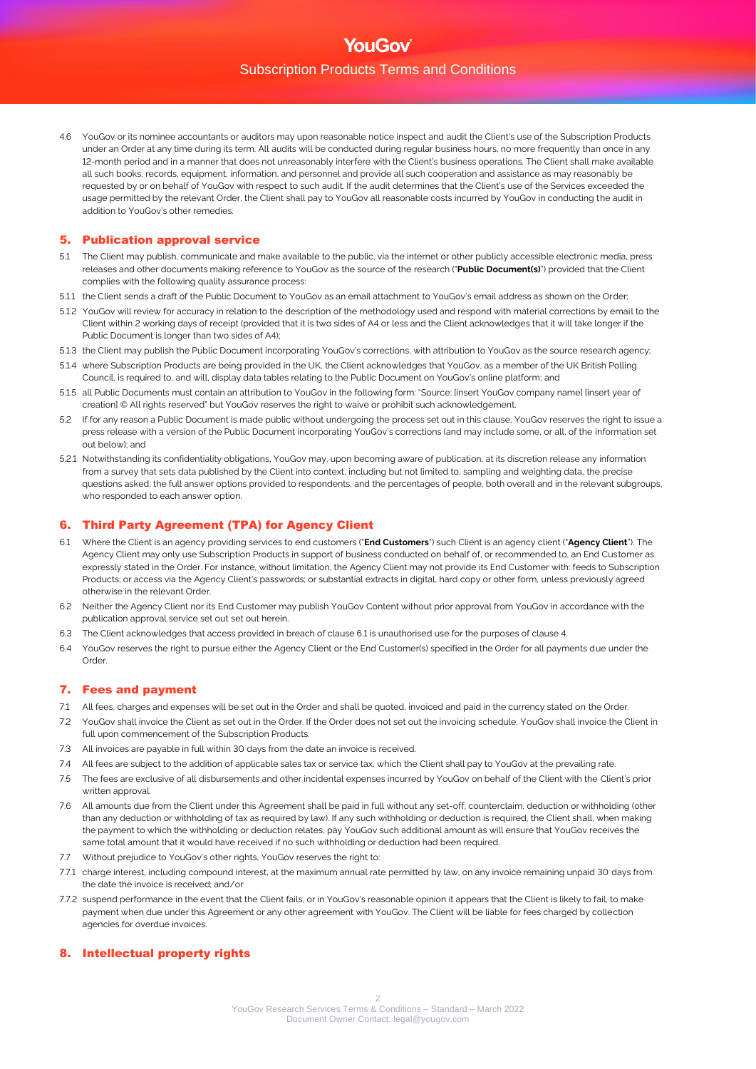4.6 YouGov or its nominee accountants or auditors may upon reasonable notice inspect and audit the Client's use of the Subscription Products under an Order at any time during its term. All audits will be conducted during regular business hours, no more frequently than once in any 12-month period and in a manner that does not unreasonably interfere with the Client's business operations. The Client shall make available all such books, records, equipment, information, and personnel and provide all such cooperation and assistance as may reasonably be requested by or on behalf of YouGov with respect to such audit. If the audit determines that the Client's use of the Services exceeded the usage permitted by the relevant Order, the Client shall pay to YouGov all reasonable costs incurred by YouGov in conducting the audit in addition to YouGov's other remedies.

# 5. Publication approval service

- 5.1 The Client may publish, communicate and make available to the public, via the internet or other publicly accessible electronic media, press releases and other documents making reference to YouGov as the source of the research ("**Public Document(s)**") provided that the Client complies with the following quality assurance process:
- 5.1.1 the Client sends a draft of the Public Document to YouGov as an email attachment to YouGov's email address as shown on the Order;
- 5.1.2 YouGov will review for accuracy in relation to the description of the methodology used and respond with material corrections by email to the Client within 2 working days of receipt (provided that it is two sides of A4 or less and the Client acknowledges that it will take longer if the Public Document is longer than two sides of A4);
- 5.1.3 the Client may publish the Public Document incorporating YouGov's corrections, with attribution to YouGov as the source research agency;
- 5.1.4 where Subscription Products are being provided in the UK, the Client acknowledges that YouGov, as a member of the UK British Polling Council, is required to, and will, display data tables relating to the Public Document on YouGov's online platform; and
- 5.1.5 all Public Documents must contain an attribution to YouGov in the following form: "Source: [insert YouGov company name] [insert year of creation] © All rights reserved" but YouGov reserves the right to waive or prohibit such acknowledgement.
- 5.2 If for any reason a Public Document is made public without undergoing the process set out in this clause, YouGov reserves the right to issue a press release with a version of the Public Document incorporating YouGov's corrections (and may include some, or all, of the information set out below); and
- 5.2.1 Notwithstanding its confidentiality obligations, YouGov may, upon becoming aware of publication, at its discretion release any information from a survey that sets data published by the Client into context, including but not limited to, sampling and weighting data, the precise questions asked, the full answer options provided to respondents, and the percentages of people, both overall and in the relevant subgroups, who responded to each answer option.

# 6. Third Party Agreement (TPA) for Agency Client

- 6.1 Where the Client is an agency providing services to end customers ("**End Customers**") such Client is an agency client ("**Agency Client**"). The Agency Client may only use Subscription Products in support of business conducted on behalf of, or recommended to, an End Customer as expressly stated in the Order. For instance, without limitation, the Agency Client may not provide its End Customer with: feeds to Subscription Products; or access via the Agency Client's passwords; or substantial extracts in digital, hard copy or other form, unless previously agreed otherwise in the relevant Order.
- 6.2 Neither the Agency Client nor its End Customer may publish YouGov Content without prior approval from YouGov in accordance with the publication approval service set out set out herein.
- The Client acknowledges that access provided in breach of clause 6.1 is unauthorised use for the purposes of clause 4.
- 6.4 YouGov reserves the right to pursue either the Agency Client or the End Customer(s) specified in the Order for all payments due under the Order.

## 7. Fees and payment

- 7.1 All fees, charges and expenses will be set out in the Order and shall be quoted, invoiced and paid in the currency stated on the Order.
- 7.2 YouGov shall invoice the Client as set out in the Order. If the Order does not set out the invoicing schedule, YouGov shall invoice the Client in full upon commencement of the Subscription Products.
- 7.3 All invoices are payable in full within 30 days from the date an invoice is received.
- 7.4 All fees are subject to the addition of applicable sales tax or service tax, which the Client shall pay to YouGov at the prevailing rate.
- 7.5 The fees are exclusive of all disbursements and other incidental expenses incurred by YouGov on behalf of the Client with the Client's prior written approval.
- 7.6 All amounts due from the Client under this Agreement shall be paid in full without any set-off, counterclaim, deduction or withholding (other than any deduction or withholding of tax as required by law). If any such withholding or deduction is required, the Client shall, when making the payment to which the withholding or deduction relates, pay YouGov such additional amount as will ensure that YouGov receives the same total amount that it would have received if no such withholding or deduction had been required.
- 7.7 Without prejudice to YouGov's other rights, YouGov reserves the right to:
- 7.7.1 charge interest, including compound interest, at the maximum annual rate permitted by law, on any invoice remaining unpaid 30 days from the date the invoice is received; and/or
- 7.7.2 suspend performance in the event that the Client fails, or in YouGov's reasonable opinion it appears that the Client is likely to fail, to make payment when due under this Agreement or any other agreement with YouGov. The Client will be liable for fees charged by collection agencies for overdue invoices.

# 8. Intellectual property rights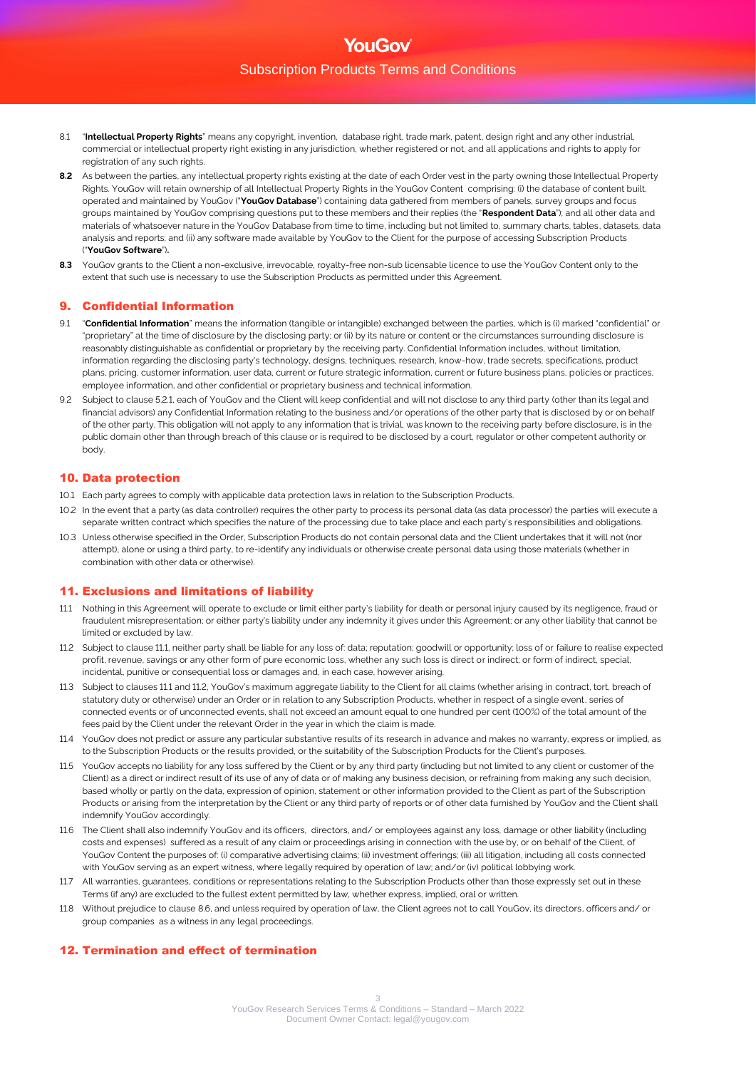- 8.1 "**Intellectual Property Rights**" means any copyright, invention, database right, trade mark, patent, design right and any other industrial, commercial or intellectual property right existing in any jurisdiction, whether registered or not, and all applications and rights to apply for registration of any such rights.
- **8.2** As between the parties, any intellectual property rights existing at the date of each Order vest in the party owning those Intellectual Property Rights. YouGov will retain ownership of all Intellectual Property Rights in the YouGov Content comprising: (i) the database of content built, operated and maintained by YouGov ("**YouGov Database**") containing data gathered from members of panels, survey groups and focus groups maintained by YouGov comprising questions put to these members and their replies (the "**Respondent Data**"); and all other data and materials of whatsoever nature in the YouGov Database from time to time, including but not limited to, summary charts, tables, datasets, data analysis and reports; and (ii) any software made available by YouGov to the Client for the purpose of accessing Subscription Products ("**YouGov Software**")**.**
- 8.3 YouGov grants to the Client a non-exclusive, irrevocable, royalty-free non-sub licensable licence to use the YouGov Content only to the extent that such use is necessary to use the Subscription Products as permitted under this Agreement.

# 9. Confidential Information

- 9.1 "**Confidential Information**" means the information (tangible or intangible) exchanged between the parties, which is (i) marked "confidential" or "proprietary" at the time of disclosure by the disclosing party; or (ii) by its nature or content or the circumstances surrounding disclosure is reasonably distinguishable as confidential or proprietary by the receiving party. Confidential Information includes, without limitation, information regarding the disclosing party's technology, designs, techniques, research, know-how, trade secrets, specifications, product plans, pricing, customer information, user data, current or future strategic information, current or future business plans, policies or practices, employee information, and other confidential or proprietary business and technical information.
- 9.2 Subject to clause 5.2.1, each of YouGov and the Client will keep confidential and will not disclose to any third party (other than its legal and financial advisors) any Confidential Information relating to the business and/or operations of the other party that is disclosed by or on behalf of the other party. This obligation will not apply to any information that is trivial, was known to the receiving party before disclosure, is in the public domain other than through breach of this clause or is required to be disclosed by a court, regulator or other competent authority or body.

# 10. Data protection

- 10.1 Each party agrees to comply with applicable data protection laws in relation to the Subscription Products.
- 10.2 In the event that a party (as data controller) requires the other party to process its personal data (as data processor) the parties will execute a separate written contract which specifies the nature of the processing due to take place and each party's responsibilities and obligations.
- 10.3 Unless otherwise specified in the Order, Subscription Products do not contain personal data and the Client undertakes that it will not (nor attempt), alone or using a third party, to re-identify any individuals or otherwise create personal data using those materials (whether in combination with other data or otherwise).

# 11. Exclusions and limitations of liability

- 11.1 Nothing in this Agreement will operate to exclude or limit either party's liability for death or personal injury caused by its negligence, fraud or fraudulent misrepresentation; or either party's liability under any indemnity it gives under this Agreement; or any other liability that cannot be limited or excluded by law.
- 11.2 Subject to clause 11.1, neither party shall be liable for any loss of: data; reputation; goodwill or opportunity; loss of or failure to realise expected profit, revenue, savings or any other form of pure economic loss, whether any such loss is direct or indirect; or form of indirect, special, incidental, punitive or consequential loss or damages and, in each case, however arising.
- 11.3 Subject to clauses 11.1 and 11.2, YouGov's maximum aggregate liability to the Client for all claims (whether arising in contract, tort, breach of statutory duty or otherwise) under an Order or in relation to any Subscription Products, whether in respect of a single event, series of connected events or of unconnected events, shall not exceed an amount equal to one hundred per cent (100%) of the total amount of the fees paid by the Client under the relevant Order in the year in which the claim is made.
- 11.4 YouGov does not predict or assure any particular substantive results of its research in advance and makes no warranty, express or implied, as to the Subscription Products or the results provided, or the suitability of the Subscription Products for the Client's purposes.
- 11.5 YouGov accepts no liability for any loss suffered by the Client or by any third party (including but not limited to any client or customer of the Client) as a direct or indirect result of its use of any of data or of making any business decision, or refraining from making any such decision, based wholly or partly on the data, expression of opinion, statement or other information provided to the Client as part of the Subscription Products or arising from the interpretation by the Client or any third party of reports or of other data furnished by YouGov and the Client shall indemnify YouGov accordingly.
- 11.6 The Client shall also indemnify YouGov and its officers, directors, and/ or employees against any loss, damage or other liability (including costs and expenses) suffered as a result of any claim or proceedings arising in connection with the use by, or on behalf of the Client, of YouGov Content the purposes of: (i) comparative advertising claims; (ii) investment offerings; (iii) all litigation, including all costs connected with YouGov serving as an expert witness, where legally required by operation of law; and/or (iv) political lobbying work.
- 11.7 All warranties, guarantees, conditions or representations relating to the Subscription Products other than those expressly set out in these Terms (if any) are excluded to the fullest extent permitted by law, whether express, implied, oral or written.
- 11.8 Without prejudice to clause 8.6, and unless required by operation of law, the Client agrees not to call YouGov, its directors, officers and/ or group companies as a witness in any legal proceedings.

# 12. Termination and effect of termination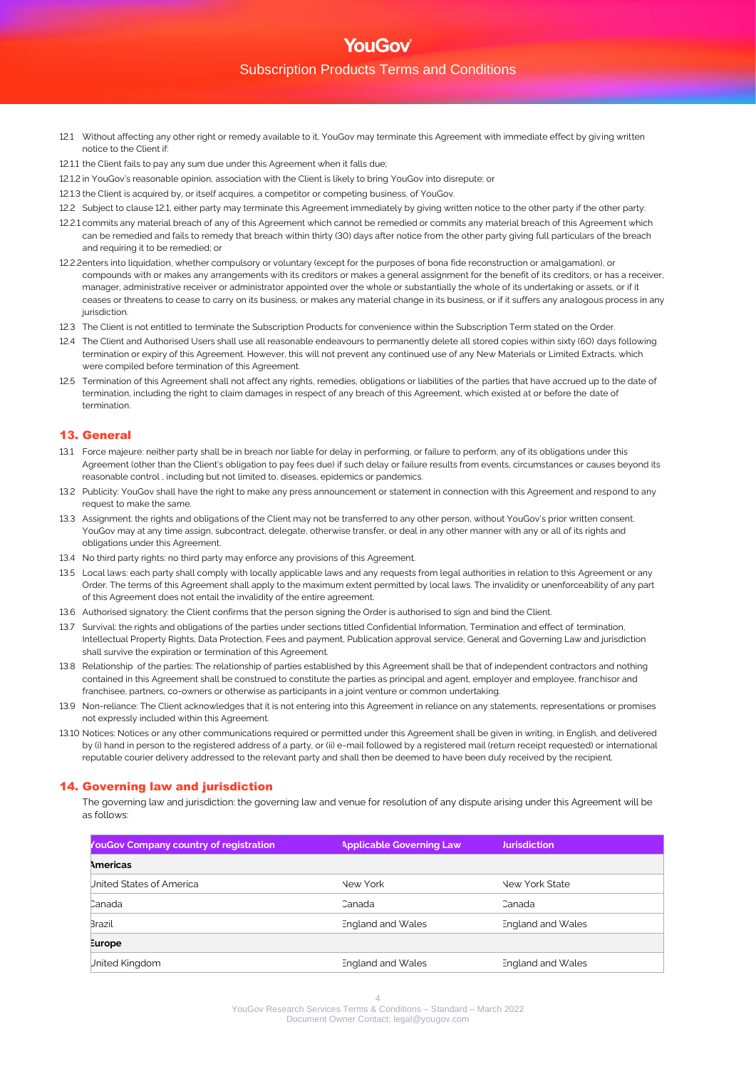- 12.1 Without affecting any other right or remedy available to it, YouGov may terminate this Agreement with immediate effect by giving written notice to the Client if:
- 12.1.1 the Client fails to pay any sum due under this Agreement when it falls due;
- 12.1.2 in YouGov's reasonable opinion, association with the Client is likely to bring YouGov into disrepute; or
- 12.1.3 the Client is acquired by, or itself acquires, a competitor or competing business, of YouGov.
- 12.2 Subject to clause 12.1, either party may terminate this Agreement immediately by giving written notice to the other party if the other party:
- 12.2.1 commits any material breach of any of this Agreement which cannot be remedied or commits any material breach of this Agreement which can be remedied and fails to remedy that breach within thirty (30) days after notice from the other party giving full particulars of the breach and requiring it to be remedied; or
- 12.2.2enters into liquidation, whether compulsory or voluntary (except for the purposes of bona fide reconstruction or amalgamation), or compounds with or makes any arrangements with its creditors or makes a general assignment for the benefit of its creditors, or has a receiver, manager, administrative receiver or administrator appointed over the whole or substantially the whole of its undertaking or assets, or if it ceases or threatens to cease to carry on its business, or makes any material change in its business, or if it suffers any analogous process in any iurisdiction.
- 12.3 The Client is not entitled to terminate the Subscription Products for convenience within the Subscription Term stated on the Order.
- 12.4 The Client and Authorised Users shall use all reasonable endeavours to permanently delete all stored copies within sixty (60) days following termination or expiry of this Agreement. However, this will not prevent any continued use of any New Materials or Limited Extracts, which were compiled before termination of this Agreement.
- 12.5 Termination of this Agreement shall not affect any rights, remedies, obligations or liabilities of the parties that have accrued up to the date of termination, including the right to claim damages in respect of any breach of this Agreement, which existed at or before the date of termination.

# 13. General

- 13.1 Force majeure: neither party shall be in breach nor liable for delay in performing, or failure to perform, any of its obligations under this Agreement (other than the Client's obligation to pay fees due) if such delay or failure results from events, circumstances or causes beyond its reasonable control , including but not limited to, diseases, epidemics or pandemics.
- 13.2 Publicity: YouGov shall have the right to make any press announcement or statement in connection with this Agreement and respond to any request to make the same.
- 13.3 Assignment: the rights and obligations of the Client may not be transferred to any other person, without YouGov's prior written consent. YouGov may at any time assign, subcontract, delegate, otherwise transfer, or deal in any other manner with any or all of its rights and obligations under this Agreement.
- 13.4 No third party rights: no third party may enforce any provisions of this Agreement.
- 13.5 Local laws: each party shall comply with locally applicable laws and any requests from legal authorities in relation to this Agreement or any Order. The terms of this Agreement shall apply to the maximum extent permitted by local laws. The invalidity or unenforceability of any part of this Agreement does not entail the invalidity of the entire agreement.
- 13.6 Authorised signatory: the Client confirms that the person signing the Order is authorised to sign and bind the Client.
- 13.7 Survival: the rights and obligations of the parties under sections titled Confidential Information. Termination and effect of termination. Intellectual Property Rights, Data Protection, Fees and payment, Publication approval service, General and Governing Law and jurisdiction shall survive the expiration or termination of this Agreement.
- 13.8 Relationship of the parties: The relationship of parties established by this Agreement shall be that of independent contractors and nothing contained in this Agreement shall be construed to constitute the parties as principal and agent, employer and employee, franchisor and franchisee, partners, co-owners or otherwise as participants in a joint venture or common undertaking.
- 13.9 Non-reliance: The Client acknowledges that it is not entering into this Agreement in reliance on any statements, representations or promises not expressly included within this Agreement.
- 13.10 Notices: Notices or any other communications required or permitted under this Agreement shall be given in writing, in English, and delivered by (i) hand in person to the registered address of a party, or (ii) e-mail followed by a registered mail (return receipt requested) or international reputable courier delivery addressed to the relevant party and shall then be deemed to have been duly received by the recipient.

# 14. Governing law and jurisdiction

The governing law and jurisdiction: the governing law and venue for resolution of any dispute arising under this Agreement will be as follows:

| YouGov Company country of registration | <b>Applicable Governing Law</b> | <b>Jurisdiction</b>   |
|----------------------------------------|---------------------------------|-----------------------|
| Americas                               |                                 |                       |
| United States of America               | <b>New York</b>                 | <b>New York State</b> |
| Canada                                 | Canada                          | Canada                |
| <b>Brazil</b>                          | England and Wales               | England and Wales     |
| Europe                                 |                                 |                       |
| United Kingdom                         | England and Wales               | England and Wales     |